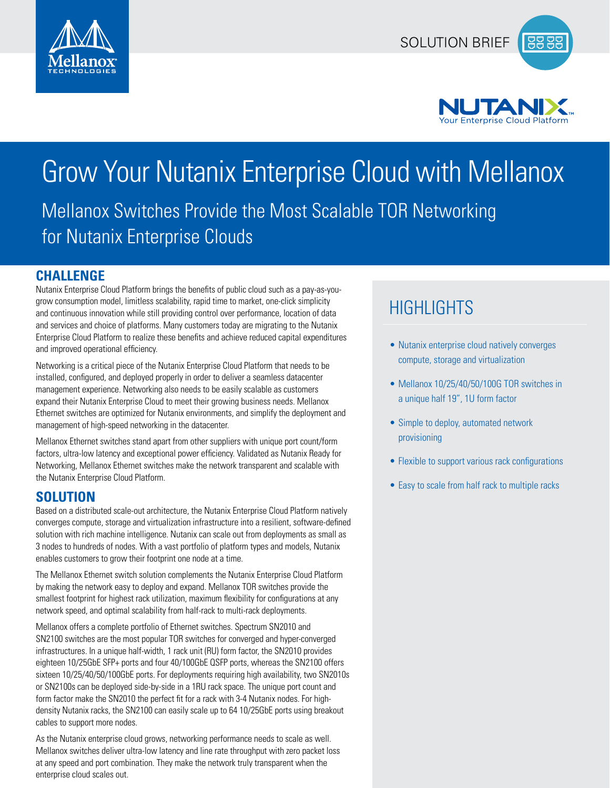



## Grow Your Nutanix Enterprise Cloud with Mellanox Mellanox Switches Provide the Most Scalable TOR Networking for Nutanix Enterprise Clouds

### **CHALLENGE**

Nutanix Enterprise Cloud Platform brings the benefits of public cloud such as a pay-as-yougrow consumption model, limitless scalability, rapid time to market, one-click simplicity and continuous innovation while still providing control over performance, location of data and services and choice of platforms. Many customers today are migrating to the Nutanix Enterprise Cloud Platform to realize these benefits and achieve reduced capital expenditures and improved operational efficiency.

Networking is a critical piece of the Nutanix Enterprise Cloud Platform that needs to be installed, configured, and deployed properly in order to deliver a seamless datacenter management experience. Networking also needs to be easily scalable as customers expand their Nutanix Enterprise Cloud to meet their growing business needs. Mellanox Ethernet switches are optimized for Nutanix environments, and simplify the deployment and management of high-speed networking in the datacenter.

Mellanox Ethernet switches stand apart from other suppliers with unique port count/form factors, ultra-low latency and exceptional power efficiency. Validated as Nutanix Ready for Networking, Mellanox Ethernet switches make the network transparent and scalable with the Nutanix Enterprise Cloud Platform.

### **SOLUTION**

Based on a distributed scale-out architecture, the Nutanix Enterprise Cloud Platform natively converges compute, storage and virtualization infrastructure into a resilient, software-defined solution with rich machine intelligence. Nutanix can scale out from deployments as small as 3 nodes to hundreds of nodes. With a vast portfolio of platform types and models, Nutanix enables customers to grow their footprint one node at a time.

The Mellanox Ethernet switch solution complements the Nutanix Enterprise Cloud Platform by making the network easy to deploy and expand. Mellanox TOR switches provide the smallest footprint for highest rack utilization, maximum flexibility for configurations at any network speed, and optimal scalability from half-rack to multi-rack deployments.

Mellanox offers a complete portfolio of Ethernet switches. Spectrum SN2010 and SN2100 switches are the most popular TOR switches for converged and hyper-converged infrastructures. In a unique half-width, 1 rack unit (RU) form factor, the SN2010 provides eighteen 10/25GbE SFP+ ports and four 40/100GbE QSFP ports, whereas the SN2100 offers sixteen 10/25/40/50/100GbE ports. For deployments requiring high availability, two SN2010s or SN2100s can be deployed side-by-side in a 1RU rack space. The unique port count and form factor make the SN2010 the perfect fit for a rack with 3-4 Nutanix nodes. For highdensity Nutanix racks, the SN2100 can easily scale up to 64 10/25GbE ports using breakout cables to support more nodes.

As the Nutanix enterprise cloud grows, networking performance needs to scale as well. Mellanox switches deliver ultra-low latency and line rate throughput with zero packet loss at any speed and port combination. They make the network truly transparent when the enterprise cloud scales out.

### **HIGHLIGHTS**

- Nutanix enterprise cloud natively converges compute, storage and virtualization
- Mellanox 10/25/40/50/100G TOR switches in a unique half 19", 1U form factor
- Simple to deploy, automated network provisioning
- Flexible to support various rack configurations
- Easy to scale from half rack to multiple racks